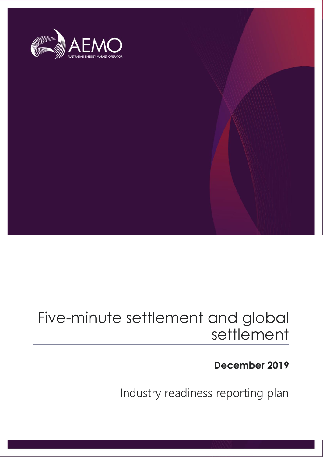

## Five-minute settlement and global settlement

## **December 2019**

Industry readiness reporting plan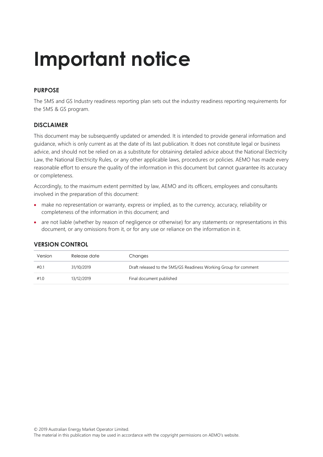# **Important notice**

#### **PURPOSE**

The 5MS and GS Industry readiness reporting plan sets out the industry readiness reporting requirements for the 5MS & GS program.

#### **DISCLAIMER**

This document may be subsequently updated or amended. It is intended to provide general information and guidance, which is only current as at the date of its last publication. It does not constitute legal or business advice, and should not be relied on as a substitute for obtaining detailed advice about the National Electricity Law, the National Electricity Rules, or any other applicable laws, procedures or policies. AEMO has made every reasonable effort to ensure the quality of the information in this document but cannot guarantee its accuracy or completeness.

Accordingly, to the maximum extent permitted by law, AEMO and its officers, employees and consultants involved in the preparation of this document:

- make no representation or warranty, express or implied, as to the currency, accuracy, reliability or completeness of the information in this document; and
- are not liable (whether by reason of negligence or otherwise) for any statements or representations in this document, or any omissions from it, or for any use or reliance on the information in it.

| Version | Release date | Changes                                                          |
|---------|--------------|------------------------------------------------------------------|
| #0.1    | 31/10/2019   | Draft released to the 5MS/GS Readiness Working Group for comment |
| #1.0    | 13/12/2019   | Final document published                                         |

#### **VERSION CONTROL**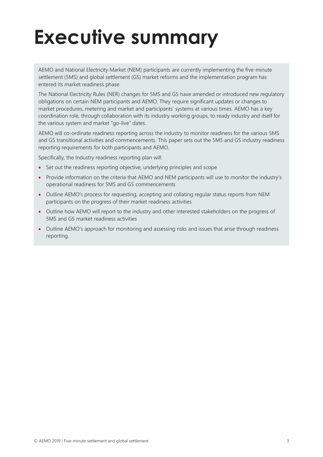# <span id="page-2-0"></span>**Executive summary**

AEMO and National Electricity Market (NEM) participants are currently implementing the five-minute settlement (5MS) and global settlement (GS) market reforms and the implementation program has entered its market readiness phase.

The National Electricity Rules (NER) changes for 5MS and GS have amended or introduced new regulatory obligations on certain NEM participants and AEMO. They require significant updates or changes to market procedures, metering and market and participants' systems at various times. AEMO has a key coordination role, through collaboration with its industry working groups, to ready industry and itself for the various system and market "go-live" dates.

AEMO will co-ordinate readiness reporting across the industry to monitor readiness for the various 5MS and GS transitional activities and commencements. This paper sets out the 5MS and GS industry readiness reporting requirements for both participants and AEMO.

Specifically, the Industry readiness reporting plan will:

- Set out the readiness reporting objective, underlying principles and scope
- Provide information on the criteria that AEMO and NEM participants will use to monitor the industry's operational readiness for 5MS and GS commencements
- Outline AEMO's process for requesting, accepting and collating regular status reports from NEM participants on the progress of their market readiness activities
- Outline how AEMO will report to the industry and other interested stakeholders on the progress of 5MS and GS market readiness activities
- Outline AEMO's approach for monitoring and assessing risks and issues that arise through readiness reporting.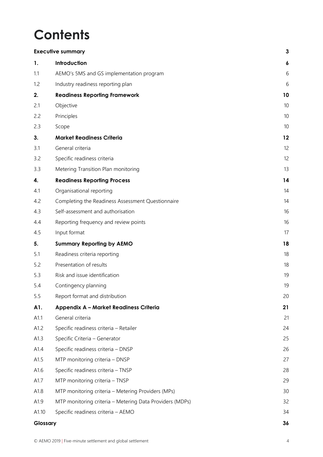## **Contents**

| <b>Executive summary</b> | 3                                                        |    |
|--------------------------|----------------------------------------------------------|----|
| 1.                       | Introduction                                             | 6  |
| 1.1                      | AEMO's 5MS and GS implementation program                 | 6  |
| 1.2                      | Industry readiness reporting plan                        | 6  |
| 2.                       | <b>Readiness Reporting Framework</b>                     | 10 |
| 2.1                      | Objective                                                | 10 |
| 2.2                      | Principles                                               | 10 |
| 2.3                      | Scope                                                    | 10 |
| 3.                       | <b>Market Readiness Criteria</b>                         | 12 |
| 3.1                      | General criteria                                         | 12 |
| 3.2                      | Specific readiness criteria                              | 12 |
| 3.3                      | Metering Transition Plan monitoring                      | 13 |
| 4.                       | <b>Readiness Reporting Process</b>                       | 14 |
| 4.1                      | Organisational reporting                                 | 14 |
| 4.2                      | Completing the Readiness Assessment Questionnaire        | 14 |
| 4.3                      | Self-assessment and authorisation                        | 16 |
| 4.4                      | Reporting frequency and review points                    | 16 |
| 4.5                      | Input format                                             | 17 |
| 5.                       | <b>Summary Reporting by AEMO</b>                         | 18 |
| 5.1                      | Readiness criteria reporting                             | 18 |
| 5.2                      | Presentation of results                                  | 18 |
| 5.3                      | Risk and issue identification                            | 19 |
| 5.4                      | Contingency planning                                     | 19 |
| 5.5                      | Report format and distribution                           | 20 |
| A1.                      | Appendix A - Market Readiness Criteria                   | 21 |
| A1.1                     | General criteria                                         | 21 |
| A1.2                     | Specific readiness criteria - Retailer                   | 24 |
| A1.3                     | Specific Criteria - Generator                            | 25 |
| A1.4                     | Specific readiness criteria - DNSP                       | 26 |
| A1.5                     | MTP monitoring criteria - DNSP                           | 27 |
| A1.6                     | Specific readiness criteria - TNSP                       | 28 |
| A1.7                     | MTP monitoring criteria - TNSP                           | 29 |
| A1.8                     | MTP monitoring criteria - Metering Providers (MPs)       | 30 |
| A1.9                     | MTP monitoring criteria - Metering Data Providers (MDPs) | 32 |
| A1.10                    | Specific readiness criteria - AEMO                       | 34 |
| Glossary                 |                                                          | 36 |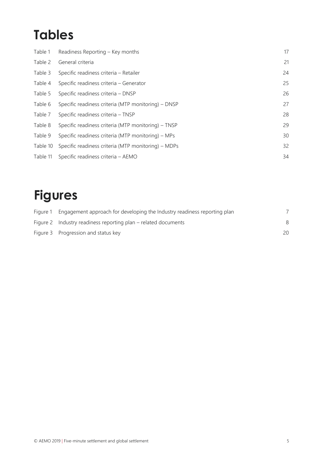## **Tables**

| Table 1  | Readiness Reporting – Key months                    | 17 |
|----------|-----------------------------------------------------|----|
| Table 2  | General criteria                                    | 21 |
| Table 3  | Specific readiness criteria - Retailer              | 24 |
| Table 4  | Specific readiness criteria - Generator             | 25 |
| Table 5  | Specific readiness criteria - DNSP                  | 26 |
| Table 6  | Specific readiness criteria (MTP monitoring) – DNSP | 27 |
| Table 7  | Specific readiness criteria - TNSP                  | 28 |
| Table 8  | Specific readiness criteria (MTP monitoring) - TNSP | 29 |
| Table 9  | Specific readiness criteria (MTP monitoring) – MPs  | 30 |
| Table 10 | Specific readiness criteria (MTP monitoring) – MDPs | 32 |
| Table 11 | Specific readiness criteria - AEMO                  | 34 |

## **Figures**

| Figure 1 | Engagement approach for developing the Industry readiness reporting plan |     |
|----------|--------------------------------------------------------------------------|-----|
|          | Figure 2 Industry readiness reporting plan – related documents           | 8   |
|          | Figure 3 Progression and status key                                      | 20. |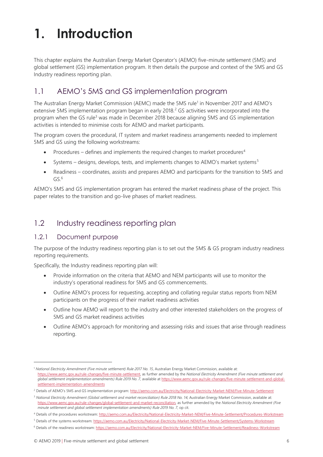## <span id="page-5-0"></span>**1. Introduction**

This chapter explains the Australian Energy Market Operator's (AEMO) five-minute settlement (5MS) and global settlement (GS) implementation program. It then details the purpose and context of the 5MS and GS Industry readiness reporting plan.

## <span id="page-5-1"></span>1.1 AEMO's 5MS and GS implementation program

The Australian Energy Market Commission (AEMC) made the 5MS rule<sup>1</sup> in November 2017 and AEMO's extensive 5MS implementation program began in early 2018.<sup>2</sup> GS activities were incorporated into the program when the GS rule<sup>3</sup> was made in December 2018 because aligning 5MS and GS implementation activities is intended to minimise costs for AEMO and market participants.

The program covers the procedural, IT system and market readiness arrangements needed to implement 5MS and GS using the following workstreams:

- Procedures defines and implements the required changes to market procedures<sup>4</sup>
- Systems designs, develops, tests, and implements changes to AEMO's market systems<sup>5</sup>
- Readiness coordinates, assists and prepares AEMO and participants for the transition to 5MS and  $GS<sup>6</sup>$

AEMO's 5MS and GS implementation program has entered the market readiness phase of the project. This paper relates to the transition and go-live phases of market readiness.

## <span id="page-5-2"></span>1.2 Industry readiness reporting plan

#### 1.2.1 Document purpose

The purpose of the Industry readiness reporting plan is to set out the 5MS & GS program industry readiness reporting requirements.

Specifically, the Industry readiness reporting plan will:

- Provide information on the criteria that AEMO and NEM participants will use to monitor the industry's operational readiness for 5MS and GS commencements.
- Outline AEMO's process for requesting, accepting and collating regular status reports from NEM participants on the progress of their market readiness activities
- Outline how AEMO will report to the industry and other interested stakeholders on the progress of 5MS and GS market readiness activities
- Outline AEMO's approach for monitoring and assessing risks and issues that arise through readiness reporting.

<sup>1</sup> *National Electricity Amendment (Five minute settlement) Rule 2017 No. 15*, Australian Energy Market Commission, available at: [https://www.aemc.gov.au/rule-changes/five-minute-settlement,](https://www.aemc.gov.au/rule-changes/five-minute-settlement) as further amended by the *National Electricity Amendment (Five minute settlement and global settlement implementation amendments) Rule 2019 No. 7*, available at [https://www.aemc.gov.au/rule-changes/five-minute-settlement-and-global](https://www.aemc.gov.au/rule-changes/five-minute-settlement-and-global-settlement-implementation-amendments)[settlement-implementation-amendments](https://www.aemc.gov.au/rule-changes/five-minute-settlement-and-global-settlement-implementation-amendments)

<sup>&</sup>lt;sup>2</sup> Details of AEMO's 5MS and GS implementation program:<http://aemo.com.au/Electricity/National-Electricity-Market-NEM/Five-Minute-Settlement>

<sup>&</sup>lt;sup>3</sup> National Electricity Amendment (Global settlement and market reconciliation) Rule 2018 No. 14, Australian Energy Market Commission, available at: [https://www.aemc.gov.au/rule-changes/global-settlement-and-market-reconciliation,](https://www.aemc.gov.au/rule-changes/global-settlement-and-market-reconciliation) as further amended by the *National Electricity Amendment (Five minute settlement and global settlement implementation amendments) Rule 2019 No. 7*, op cit.

<sup>4</sup> Details of the procedures workstream[: http://aemo.com.au/Electricity/National-Electricity-Market-NEM/Five-Minute-Settlement/Procedures-Workstream](http://aemo.com.au/Electricity/National-Electricity-Market-NEM/Five-Minute-Settlement/Procedures-Workstream)

<sup>5</sup> Details of the systems workstream[: https://aemo.com.au/Electricity/National-Electricity-Market-NEM/Five-Minute-Settlement/Systems-Workstream](https://aemo.com.au/Electricity/National-Electricity-Market-NEM/Five-Minute-Settlement/Systems-Workstream)

<sup>6</sup> Details of the readiness workstream:<https://aemo.com.au/Electricity/National-Electricity-Market-NEM/Five-Minute-Settlement/Readiness-Workstream>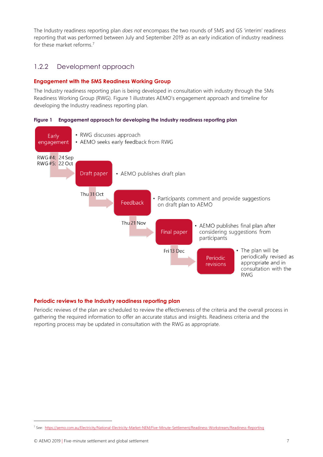The Industry readiness reporting plan *does not* encompass the two rounds of 5MS and GS 'interim' readiness reporting that was performed between July and September 2019 as an early indication of industry readiness for these market reforms.<sup>7</sup>

#### 1.2.2 Development approach

#### **Engagement with the 5MS Readiness Working Group**

The Industry readiness reporting plan is being developed in consultation with industry through the 5Ms Readiness Working Group (RWG). Figure 1 illustrates AEMO's engagement approach and timeline for developing the Industry readiness reporting plan.

<span id="page-6-0"></span>**Figure 1 Engagement approach for developing the Industry readiness reporting plan** 



#### **Periodic reviews to the Industry readiness reporting plan**

Periodic reviews of the plan are scheduled to review the effectiveness of the criteria and the overall process in gathering the required information to offer an accurate status and insights. Readiness criteria and the reporting process may be updated in consultation with the RWG as appropriate.

<sup>7</sup> See:<https://aemo.com.au/Electricity/National-Electricity-Market-NEM/Five-Minute-Settlement/Readiness-Workstream/Readiness-Reporting>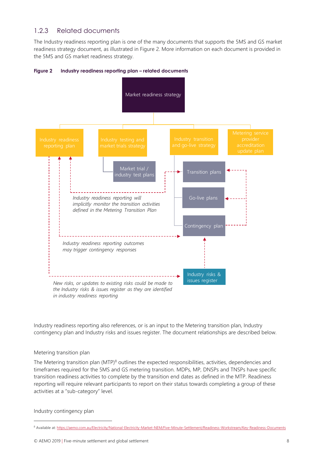#### 1.2.3 Related documents

The Industry readiness reporting plan is one of the many documents that supports the 5MS and GS market readiness strategy document, as illustrated in Figure 2. More information on each document is provided in the 5MS and GS market readiness strategy.

<span id="page-7-0"></span>



Industry readiness reporting also references, or is an input to the Metering transition plan, Industry contingency plan and Industry risks and issues register. The document relationships are described below.

#### Metering transition plan

The Metering transition plan (MTP)<sup>8</sup> outlines the expected responsibilities, activities, dependencies and timeframes required for the 5MS and GS metering transition. MDPs, MP, DNSPs and TNSPs have specific transition readiness activities to complete by the transition end dates as defined in the MTP. Readiness reporting will require relevant participants to report on their status towards completing a group of these activities at a "sub-category" level.

#### Industry contingency plan

<sup>8</sup> Available at:<https://aemo.com.au/Electricity/National-Electricity-Market-NEM/Five-Minute-Settlement/Readiness-Workstream/Key-Readiness-Documents>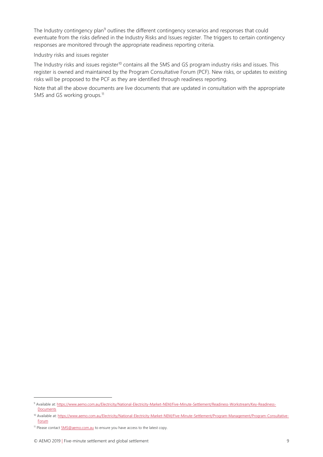The Industry contingency plan<sup>9</sup> outlines the different contingency scenarios and responses that could eventuate from the risks defined in the Industry Risks and Issues register. The triggers to certain contingency responses are monitored through the appropriate readiness reporting criteria.

#### Industry risks and issues register

The Industry risks and issues register<sup>10</sup> contains all the 5MS and GS program industry risks and issues. This register is owned and maintained by the Program Consultative Forum (PCF). New risks, or updates to existing risks will be proposed to the PCF as they are identified through readiness reporting.

Note that all the above documents are live documents that are updated in consultation with the appropriate 5MS and GS working groups.<sup>11</sup>

<sup>9</sup> Available at: [https://www.aemo.com.au/Electricity/National-Electricity-Market-NEM/Five-Minute-Settlement/Readiness-Workstream/Key-Readiness-](https://www.aemo.com.au/Electricity/National-Electricity-Market-NEM/Five-Minute-Settlement/Readiness-Workstream/Key-Readiness-Documents)**[Documents](https://www.aemo.com.au/Electricity/National-Electricity-Market-NEM/Five-Minute-Settlement/Readiness-Workstream/Key-Readiness-Documents)** 

<sup>10</sup> Available at[: https://www.aemo.com.au/Electricity/National-Electricity-Market-NEM/Five-Minute-Settlement/Program-Management/Program-Consultative-](https://www.aemo.com.au/Electricity/National-Electricity-Market-NEM/Five-Minute-Settlement/Program-Management/Program-Consultative-Forum)**[Forum](https://www.aemo.com.au/Electricity/National-Electricity-Market-NEM/Five-Minute-Settlement/Program-Management/Program-Consultative-Forum)** 

<sup>&</sup>lt;sup>11</sup> Please contact **5MS@aemo.com.au** to ensure you have access to the latest copy.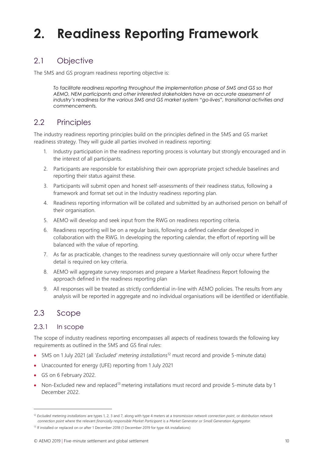## <span id="page-9-0"></span>**2. Readiness Reporting Framework**

## <span id="page-9-1"></span>2.1 Objective

The 5MS and GS program readiness reporting objective is:

*To facilitate readiness reporting throughout the implementation phase of 5MS and GS so that AEMO, NEM participants and other interested stakeholders have an accurate assessment of industry's readiness for the various 5MS and GS market system "go-lives", transitional activities and commencements.*

## <span id="page-9-2"></span>2.2 Principles

The industry readiness reporting principles build on the principles defined in the 5MS and GS market readiness strategy. They will guide all parties involved in readiness reporting:

- 1. Industry participation in the readiness reporting process is voluntary but strongly encouraged and in the interest of all participants.
- 2. Participants are responsible for establishing their own appropriate project schedule baselines and reporting their status against these.
- 3. Participants will submit open and honest self-assessments of their readiness status, following a framework and format set out in the Industry readiness reporting plan.
- 4. Readiness reporting information will be collated and submitted by an authorised person on behalf of their organisation.
- 5. AEMO will develop and seek input from the RWG on readiness reporting criteria.
- 6. Readiness reporting will be on a regular basis, following a defined calendar developed in collaboration with the RWG. In developing the reporting calendar, the effort of reporting will be balanced with the value of reporting.
- 7. As far as practicable, changes to the readiness survey questionnaire will only occur where further detail is required on key criteria.
- 8. AEMO will aggregate survey responses and prepare a Market Readiness Report following the approach defined in the readiness reporting plan
- 9. All responses will be treated as strictly confidential in-line with AEMO policies. The results from any analysis will be reported in aggregate and no individual organisations will be identified or identifiable.

### <span id="page-9-3"></span>2.3 Scope

#### 2.3.1 In scope

The scope of industry readiness reporting encompasses all aspects of readiness towards the following key requirements as outlined in the 5MS and GS final rules:

- 5MS on 1 July 2021 (all '*Excluded' metering installations*<sup>12</sup> must record and provide 5-minute data)
- Unaccounted for energy (UFE) reporting from 1 July 2021
- GS on 6 February 2022.
- Non-Excluded new and replaced<sup>13</sup> metering installations must record and provide 5-minute data by 1 December 2022.

<sup>12</sup> *Excluded metering installations* are types 1, 2, 3 and 7, along with type 4 meters at a *transmission network connection point*, or *distribution network connection point* where the relevant *financially responsible Market Participant* is a *Market Generator* or *Small Generation Aggregator*.

<sup>&</sup>lt;sup>13</sup> If installed or replaced on or after 1 December 2018 (1 December 2019 for type 4A installations)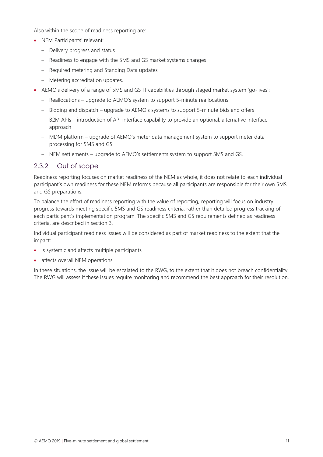Also within the scope of readiness reporting are:

- NEM Participants' relevant:
	- Delivery progress and status
	- Readiness to engage with the 5MS and GS market systems changes
	- Required metering and Standing Data updates
	- Metering accreditation updates.
- AEMO's delivery of a range of 5MS and GS IT capabilities through staged market system 'go-lives':
	- Reallocations upgrade to AEMO's system to support 5-minute reallocations
	- Bidding and dispatch upgrade to AEMO's systems to support 5-minute bids and offers
	- B2M APIs introduction of API interface capability to provide an optional, alternative interface approach
	- MDM platform upgrade of AEMO's meter data management system to support meter data processing for 5MS and GS
	- NEM settlements upgrade to AEMO's settlements system to support 5MS and GS.

#### 2.3.2 Out of scope

Readiness reporting focuses on market readiness of the NEM as whole, it does not relate to each individual participant's own readiness for these NEM reforms because all participants are responsible for their own 5MS and GS preparations.

To balance the effort of readiness reporting with the value of reporting, reporting will focus on industry progress towards meeting specific 5MS and GS readiness criteria, rather than detailed progress tracking of each participant's implementation program. The specific 5MS and GS requirements defined as readiness criteria, are described in section 3.

Individual participant readiness issues will be considered as part of market readiness to the extent that the impact:

- is systemic and affects multiple participants
- affects overall NEM operations.

In these situations, the issue will be escalated to the RWG, to the extent that it does not breach confidentiality. The RWG will assess if these issues require monitoring and recommend the best approach for their resolution.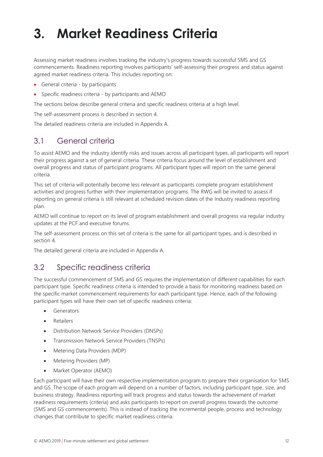## <span id="page-11-0"></span>**3. Market Readiness Criteria**

Assessing market readiness involves tracking the industry's progress towards successful 5MS and GS commencements. Readiness reporting involves participants' self-assessing their progress and status against agreed market readiness criteria. This includes reporting on:

- General criteria by participants
- Specific readiness criteria by participants and AEMO

The sections below describe general criteria and specific readiness criteria at a high level.

The self-assessment process is described in section 4.

<span id="page-11-1"></span>The detailed readiness criteria are included in Appendix A.

### 3.1 General criteria

To assist AEMO and the industry identify risks and issues across all participant types, all participants will report their progress against a set of general criteria. These criteria focus around the level of establishment and overall progress and status of participant programs. All participant types will report on the same general criteria.

This set of criteria will potentially become less relevant as participants complete program establishment activities and progress further with their implementation programs. The RWG will be invited to assess if reporting on general criteria is still relevant at scheduled revision dates of the Industry readiness reporting plan.

AEMO will continue to report on its level of program establishment and overall progress via regular industry updates at the PCF and executive forums.

The self-assessment process on this set of criteria is the same for all participant types, and is described in section 4.

The detailed general criteria are included in Appendix A.

### <span id="page-11-2"></span>3.2 Specific readiness criteria

The successful commencement of 5MS and GS requires the implementation of different capabilities for each participant type. Specific readiness criteria is intended to provide a basis for monitoring readiness based on the specific market commencement requirements for each participant type. Hence, each of the following participant types will have their own set of specific readiness criteria:

- **Generators**
- **Retailers**
- Distribution Network Service Providers (DNSPs)
- Transmission Network Service Providers (TNSPs)
- Metering Data Providers (MDP)
- Metering Providers (MP)
- Market Operator (AEMO)

Each participant will have their own respective implementation program to prepare their organisation for 5MS and GS. The scope of each program will depend on a number of factors, including participant type, size, and business strategy. Readiness reporting will track progress and status towards the achievement of market readiness requirements (criteria) and asks participants to report on *overall* progress towards the outcome (5MS and GS commencements). This is instead of tracking the incremental people, process and technology changes that contribute to specific market readiness criteria.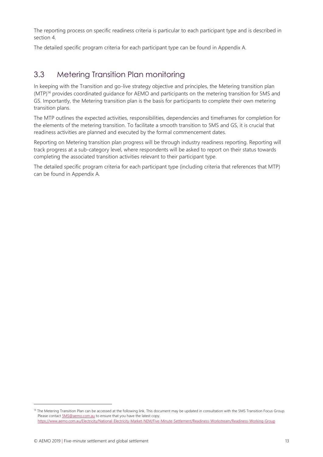The reporting process on specific readiness criteria is particular to each participant type and is described in section 4.

The detailed specific program criteria for each participant type can be found in Appendix A.

## <span id="page-12-0"></span>3.3 Metering Transition Plan monitoring

In keeping with the Transition and go-live strategy objective and principles, the Metering transition plan (MTP)<sup>14</sup> provides coordinated guidance for AEMO and participants on the metering transition for 5MS and GS. Importantly, the Metering transition plan is the basis for participants to complete their own metering transition plans.

The MTP outlines the expected activities, responsibilities, dependencies and timeframes for completion for the elements of the metering transition. To facilitate a smooth transition to 5MS and GS, it is crucial that readiness activities are planned and executed by the formal commencement dates.

Reporting on Metering transition plan progress will be through industry readiness reporting. Reporting will track progress at a sub-category level, where respondents will be asked to report on their status towards completing the associated transition activities relevant to their participant type.

The detailed specific program criteria for each participant type (including criteria that references that MTP) can be found in Appendix A.

<sup>&</sup>lt;sup>14</sup> The Metering Transition Plan can be accessed at the following link. This document may be updated in consultation with the 5MS Transition Focus Group. Please contact  $5MS@aemo.com.au$  to ensure that you have the latest copy. <https://www.aemo.com.au/Electricity/National-Electricity-Market-NEM/Five-Minute-Settlement/Readiness-Workstream/Readiness-Working-Group>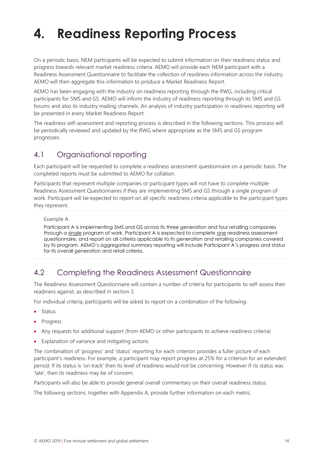## <span id="page-13-0"></span>**4. Readiness Reporting Process**

On a periodic basis, NEM participants will be expected to submit information on their readiness status and progress towards relevant market readiness criteria. AEMO will provide each NEM participant with a Readiness Assessment Questionnaire to facilitate the collection of readiness information across the industry. AEMO will then aggregate this information to produce a Market Readiness Report.

AEMO has been engaging with the industry on readiness reporting through the RWG, including critical participants for 5MS and GS. AEMO will inform the industry of readiness reporting through its 5MS and GS forums and also its industry mailing channels. An analysis of industry participation in readiness reporting will be presented in every Market Readiness Report.

The readiness self-assessment and reporting process is described in the following sections. This process will be periodically reviewed and updated by the RWG where appropriate as the 5MS and GS program progresses.

## <span id="page-13-1"></span>4.1 Organisational reporting

Each participant will be requested to complete a readiness assessment questionnaire on a periodic basis. The completed reports must be submitted to AEMO for collation.

Participants that represent multiple companies or participant types will not have to complete multiple Readiness Assessment Questionnaires if they are implementing 5MS and GS through a single program of work. Participant will be expected to report on all specific readiness criteria applicable to the participant types they represent.

#### Example A

Participant A is implementing 5MS and GS across its three generation and four retailing companies through a single program of work. Participant A is expected to complete one readiness assessment questionnaire, and report on all criteria applicable to its generation and retailing companies covered by its program. AEMO's aggregated summary reporting will include Participant A's progress and status for its overall generation and retail criteria.

## <span id="page-13-2"></span>4.2 Completing the Readiness Assessment Questionnaire

The Readiness Assessment Questionnaire will contain a number of criteria for participants to self-assess their readiness against, as described in section 3.

For individual criteria, participants will be asked to report on a combination of the following:

- Status
- Progress
- Any requests for additional support (from AEMO or other participants to achieve readiness criteria)
- Explanation of variance and mitigating actions

The combination of 'progress' and 'status' reporting for each criterion provides a fuller picture of each participant's readiness. For example, a participant may report progress at 25% for a criterion for an extended period. If its status is 'on track' then its level of readiness would not be concerning. However if its status was 'late', then its readiness may be of concern.

Participants will also be able to provide general overall commentary on their overall readiness status.

The following sections, together with Appendix A, provide further information on each metric.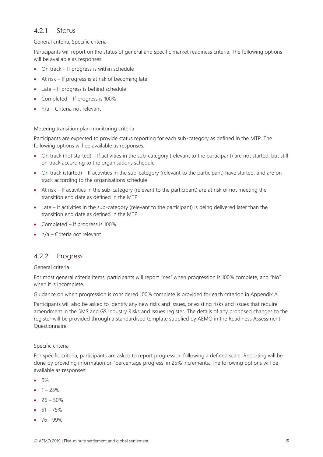#### 4.2.1 Status

#### General criteria, Specific criteria

Participants will report on the status of general and specific market readiness criteria. The following options will be available as responses:

- On track If progress is within schedule
- At risk If progress is at risk of becoming late
- Late If progress is behind schedule
- Completed If progress is 100%
- n/a Criteria not relevant

Metering transition plan monitoring criteria

Participants are expected to provide status reporting for each sub-category as defined in the MTP. The following options will be available as responses:

- On track (not started) If activities in the sub-category (relevant to the participant) are not started, but still on track according to the organisations schedule
- On track (started) If activities in the sub-category (relevant to the participant) have started, and are on track according to the organisations schedule
- At risk If activities in the sub-category (relevant to the participant) are at risk of not meeting the transition end date as defined in the MTP
- Late If activities in the sub-category (relevant to the participant) is being delivered later than the transition end date as defined in the MTP
- Completed If progress is 100%
- n/a Criteria not relevant

#### 4.2.2 Progress

#### General criteria

For most general criteria items, participants will report "Yes" when progression is 100% complete, and "No" when it is incomplete.

Guidance on when progression is considered 100% complete is provided for each criterion in Appendix A.

Participants will also be asked to identify any new risks and issues, or existing risks and issues that require amendment in the 5MS and GS Industry Risks and Issues register. The details of any proposed changes to the register will be provided through a standardised template supplied by AEMO in the Readiness Assessment Questionnaire.

#### Specific criteria

For specific criteria, participants are asked to report progression following a defined scale. Reporting will be done by providing information on 'percentage progress' in 25% increments. The following options will be available as responses:

- $\bullet$  0%
- $-1 25%$
- $26 50\%$
- $51 75\%$
- 76 99%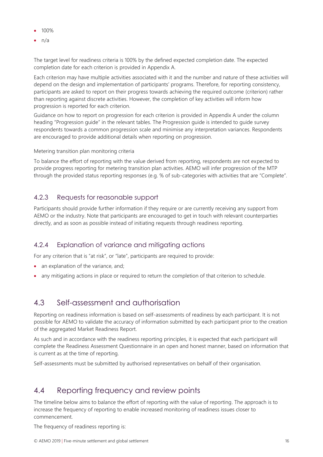- 100%
- n/a

The target level for readiness criteria is 100% by the defined expected completion date. The expected completion date for each criterion is provided in Appendix A.

Each criterion may have multiple activities associated with it and the number and nature of these activities will depend on the design and implementation of participants' programs. Therefore, for reporting consistency, participants are asked to report on their progress towards achieving the required outcome (criterion) rather than reporting against discrete activities. However, the completion of key activities will inform how progression is reported for each criterion.

Guidance on how to report on progression for each criterion is provided in Appendix A under the column heading "Progression guide" in the relevant tables. The Progression guide is intended to guide survey respondents towards a common progression scale and minimise any interpretation variances. Respondents are encouraged to provide additional details when reporting on progression.

Metering transition plan monitoring criteria

To balance the effort of reporting with the value derived from reporting, respondents are not expected to provide progress reporting for metering transition plan activities. AEMO will infer progression of the MTP through the provided status reporting responses (e.g. % of sub-categories with activities that are "Complete".

#### 4.2.3 Requests for reasonable support

Participants should provide further information if they require or are currently receiving any support from AEMO or the industry. Note that participants are encouraged to get in touch with relevant counterparties directly, and as soon as possible instead of initiating requests through readiness reporting.

#### 4.2.4 Explanation of variance and mitigating actions

For any criterion that is "at risk", or "late", participants are required to provide:

- an explanation of the variance, and;
- any mitigating actions in place or required to return the completion of that criterion to schedule.

## <span id="page-15-0"></span>4.3 Self-assessment and authorisation

Reporting on readiness information is based on self-assessments of readiness by each participant. It is not possible for AEMO to validate the accuracy of information submitted by each participant prior to the creation of the aggregated Market Readiness Report.

As such and in accordance with the readiness reporting principles, it is expected that each participant will complete the Readiness Assessment Questionnaire in an open and honest manner, based on information that is current as at the time of reporting.

Self-assessments must be submitted by authorised representatives on behalf of their organisation.

## <span id="page-15-1"></span>4.4 Reporting frequency and review points

The timeline below aims to balance the effort of reporting with the value of reporting. The approach is to increase the frequency of reporting to enable increased monitoring of readiness issues closer to commencement.

The frequency of readiness reporting is: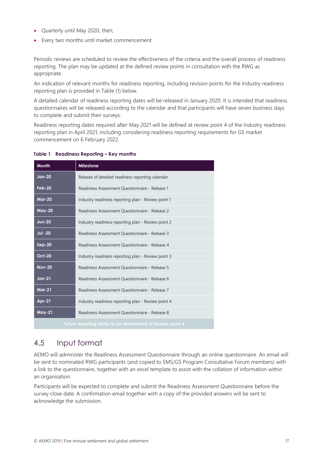- Quarterly until May 2020, then;
- Every two months until market commencement.

Periodic reviews are scheduled to review the effectiveness of the criteria and the overall process of readiness reporting. The plan may be updated at the defined review points in consultation with the RWG as appropriate.

An indication of relevant months for readiness reporting, including revision points for the Industry readiness reporting plan is provided in Table (1) below.

A detailed calendar of readiness reporting dates will be released in January 2020. It is intended that readiness questionnaires will be released according to the calendar and that participants will have seven business days to complete and submit their surveys.

Readiness reporting dates required after May 2021 will be defined at review point 4 of the Industry readiness reporting plan in April 2021, including considering readiness reporting requirements for GS market commencement on 6 February 2022.

| <b>Month</b>  | <b>Milestone</b>                                          |
|---------------|-----------------------------------------------------------|
| $Jan-20$      | Release of detailed readiness reporting calendar          |
| $Feb-20$      | Readiness Assessment Ouestionnaire - Release 1            |
| <b>Mar-20</b> | Industry readiness reporting plan - Review point 1        |
| <b>May-20</b> | Readiness Assessment Ouestionnaire - Release 2            |
| $Jun-20$      | Industry readiness reporting plan - Review point 2        |
| $Jul - 20$    | Readiness Assessment Ouestionnaire - Release 3            |
| $Sep-20$      | Readiness Assessment Questionnaire - Release 4            |
| <b>Oct-20</b> | Industry readiness reporting plan - Review point 3        |
| <b>Nov-20</b> | Readiness Assessment Ouestionnaire - Release 5            |
| $Jan-21$      | Readiness Assessment Ouestionnaire - Release 6            |
| $Mar-21$      | Readiness Assessment Ouestionnaire - Release 7            |
| $Apr-21$      | Industry readiness reporting plan - Review point 4        |
| <b>May-21</b> | Readiness Assessment Questionnaire - Release 8            |
|               | Future reporting dates to be determined at Review point 4 |

#### <span id="page-16-1"></span>**Table 1 Readiness Reporting – Key months**

### <span id="page-16-0"></span>4.5 Input format

AEMO will administer the Readiness Assessment Questionnaire through an online questionnaire. An email will be sent to nominated RWG participants (and copied to 5MS/GS Program Consultative Forum members) with a link to the questionnaire, together with an excel template to assist with the collation of information within an organisation.

Participants will be expected to complete and submit the Readiness Assessment Questionnaire before the survey close date. A confirmation email together with a copy of the provided answers will be sent to acknowledge the submission.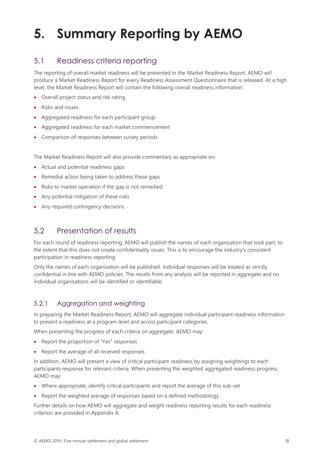## <span id="page-17-0"></span>**5. Summary Reporting by AEMO**

## <span id="page-17-1"></span>5.1 Readiness criteria reporting

The reporting of overall market readiness will be presented in the Market Readiness Report. AEMO will produce a Market Readiness Report for every Readiness Assessment Questionnaire that is released. At a high level, the Market Readiness Report will contain the following overall readiness information:

- Overall project status and risk rating
- Risks and issues
- Aggregated readiness for each participant group
- Aggregated readiness for each market commencement
- Comparison of responses between survey periods

The Market Readiness Report will also provide commentary as appropriate on:

- Actual and potential readiness gaps
- Remedial action being taken to address these gaps
- Risks to market operation if the gap is not remedied
- Any potential mitigation of these risks
- Any required contingency decisions.

## <span id="page-17-2"></span>5.2 Presentation of results

For each round of readiness reporting, AEMO will publish the names of each organisation that took part, to the extent that this does not create confidentiality issues. This is to encourage the industry's consistent participation in readiness reporting.

Only the names of each organisation will be published. Individual responses will be treated as strictly confidential in line with AEMO policies. The results from any analysis will be reported in aggregate and no individual organisations will be identified or identifiable.

#### 5.2.1 Aggregation and weighting

In preparing the Market Readiness Report, AEMO will aggregate individual participant readiness information to present a readiness at a program level and across participant categories.

When presenting the progress of each criteria on aggregate, AEMO may:

- Report the proportion of "Yes" responses
- Report the average of all received responses

In addition, AEMO will present a view of critical participant readiness by assigning weightings to each participants response for relevant criteria. When presenting the weighted aggregated readiness progress, AEMO may:

- Where appropriate, identify critical participants and report the average of this sub-set
- Report the weighted average of responses based on a defined methodology.

Further details on how AEMO will aggregate and weight readiness reporting results for each readiness criterion are provided in Appendix A.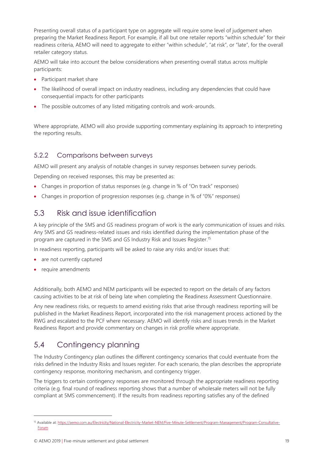Presenting overall status of a participant type on aggregate will require some level of judgement when preparing the Market Readiness Report. For example, if all but one retailer reports "within schedule" for their readiness criteria, AEMO will need to aggregate to either "within schedule", "at risk", or "late", for the overall retailer category status.

AEMO will take into account the below considerations when presenting overall status across multiple participants:

- Participant market share
- The likelihood of overall impact on industry readiness, including any dependencies that could have consequential impacts for other participants
- The possible outcomes of any listed mitigating controls and work-arounds.

Where appropriate, AEMO will also provide supporting commentary explaining its approach to interpreting the reporting results.

#### 5.2.2 Comparisons between surveys

AEMO will present any analysis of notable changes in survey responses between survey periods.

Depending on received responses, this may be presented as:

- Changes in proportion of status responses (e.g. change in % of "On track" responses)
- Changes in proportion of progression responses (e.g. change in % of "0%" responses)

### <span id="page-18-0"></span>5.3 Risk and issue identification

A key principle of the 5MS and GS readiness program of work is the early communication of issues and risks. Any 5MS and GS readiness-related issues and risks identified during the implementation phase of the program are captured in the 5MS and GS Industry Risk and Issues Register. 15

In readiness reporting, participants will be asked to raise any risks and/or issues that:

- are not currently captured
- require amendments

Additionally, both AEMO and NEM participants will be expected to report on the details of any factors causing activities to be at risk of being late when completing the Readiness Assessment Questionnaire.

Any new readiness risks, or requests to amend existing risks that arise through readiness reporting will be published in the Market Readiness Report, incorporated into the risk management process actioned by the RWG and escalated to the PCF where necessary. AEMO will identify risks and issues trends in the Market Readiness Report and provide commentary on changes in risk profile where appropriate.

## <span id="page-18-1"></span>5.4 Contingency planning

The Industry Contingency plan outlines the different contingency scenarios that could eventuate from the risks defined in the Industry Risks and Issues register. For each scenario, the plan describes the appropriate contingency response, monitoring mechanism, and contingency trigger.

The triggers to certain contingency responses are monitored through the appropriate readiness reporting criteria (e.g. final round of readiness reporting shows that a number of wholesale meters will not be fully compliant at 5MS commencement). If the results from readiness reporting satisfies any of the defined

<sup>15</sup> Available at[: https://aemo.com.au/Electricity/National-Electricity-Market-NEM/Five-Minute-Settlement/Program-Management/Program-Consultative-](https://aemo.com.au/Electricity/National-Electricity-Market-NEM/Five-Minute-Settlement/Program-Management/Program-Consultative-Forum)[Forum](https://aemo.com.au/Electricity/National-Electricity-Market-NEM/Five-Minute-Settlement/Program-Management/Program-Consultative-Forum)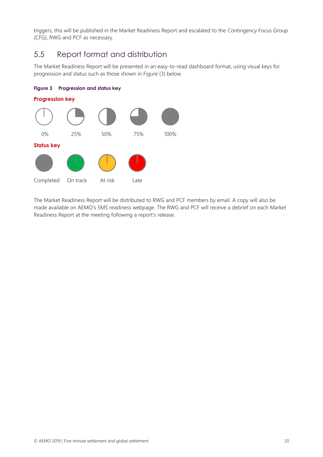triggers, this will be published in the Market Readiness Report and escalated to the Contingency Focus Group (CFG), RWG and PCF as necessary.

## <span id="page-19-0"></span>5.5 Report format and distribution

The Market Readiness Report will be presented in an easy-to-read dashboard format, using visual keys for progression and status such as those shown in Figure (3) below.

<span id="page-19-1"></span>



The Market Readiness Report will be distributed to RWG and PCF members by email. A copy will also be made available on AEMO's 5MS readiness webpage. The RWG and PCF will receive a debrief on each Market Readiness Report at the meeting following a report's release.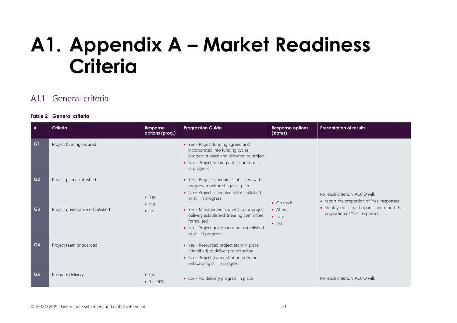# **A1. Appendix A – Market Readiness Criteria**

## A1.1 General criteria

#### **Table 2 General criteria**

<span id="page-20-2"></span><span id="page-20-1"></span><span id="page-20-0"></span>

| #              | <b>Criteria</b>                | Response<br>options (prog.)   | <b>Progression Guide</b>                                                                                                                                                           | <b>Response options</b><br>(status)                                        | <b>Presentation of results</b>                                                                                                                                   |
|----------------|--------------------------------|-------------------------------|------------------------------------------------------------------------------------------------------------------------------------------------------------------------------------|----------------------------------------------------------------------------|------------------------------------------------------------------------------------------------------------------------------------------------------------------|
| G1             | Project funding secured        |                               | • Yes - Project funding agreed and<br>incorporated into funding cycles;<br>budgets in place and allocated to project<br>• No - Project funding not secured or still<br>in progress |                                                                            |                                                                                                                                                                  |
| G <sub>2</sub> | Project plan established       | $\bullet$ Yes                 | • Yes - Project schedule established, with<br>progress monitored against plan<br>• No - Project scheduled not established<br>or still in progress                                  | $\bullet$ On track<br>$\bullet$ At risk<br>$\bullet$ Late<br>$\bullet$ n/a | For each criterion, AEMO will:<br>• report the proportion of 'Yes' responses<br>• identify critical participants and report the<br>proportion of 'Yes' responses |
| G3             | Project governance established | $\bullet$ No<br>$\bullet$ n/a | • Yes - Management ownership for project<br>delivery established; Steering committee<br>formalised<br>• No - Project governance not established<br>or still in progress            |                                                                            |                                                                                                                                                                  |
| G4             | Project team onboarded         |                               | • Yes - Resourced project team in place<br>(identified) to deliver project scope<br>• No - Project team not onboarded or<br>onboarding still in progress                           |                                                                            |                                                                                                                                                                  |
| G <sub>5</sub> | Program delivery               | $\bullet$ 0%<br>• $1 - 24%$   | $\bullet$ 0% – No delivery program in place                                                                                                                                        |                                                                            | For each criterion, AEMO will:                                                                                                                                   |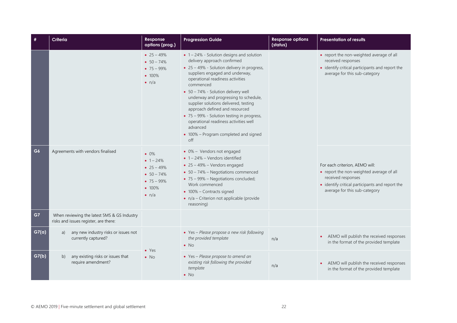|              | Criteria                                                                             | Response<br>options (prog.)                                                                             | <b>Progression Guide</b>                                                                                                                                                                                                                                                                                                                                                                                                                                                                                                          | <b>Response options</b><br>(status) | <b>Presentation of results</b>                                                                                                                                                       |
|--------------|--------------------------------------------------------------------------------------|---------------------------------------------------------------------------------------------------------|-----------------------------------------------------------------------------------------------------------------------------------------------------------------------------------------------------------------------------------------------------------------------------------------------------------------------------------------------------------------------------------------------------------------------------------------------------------------------------------------------------------------------------------|-------------------------------------|--------------------------------------------------------------------------------------------------------------------------------------------------------------------------------------|
|              |                                                                                      | • $25 - 49\%$<br>• $50 - 74\%$<br>• $75 - 99\%$<br>$• 100\%$<br>$\bullet$ n/a                           | $\bullet$ 1 – 24% - Solution designs and solution<br>delivery approach confirmed<br>• 25 - 49% - Solution delivery in progress,<br>suppliers engaged and underway,<br>operational readiness activities<br>commenced<br>• 50 - 74% - Solution delivery well<br>underway and progressing to schedule,<br>supplier solutions delivered, testing<br>approach defined and resourced<br>• 75 - 99% - Solution testing in progress,<br>operational readiness activities well<br>advanced<br>• 100% – Program completed and signed<br>off |                                     | • report the non-weighted average of all<br>received responses<br>• identify critical participants and report the<br>average for this sub-category                                   |
| G6           | Agreements with vendors finalised                                                    | $\bullet$ 0%<br>• $1 - 24%$<br>• $25 - 49\%$<br>$-50 - 74%$<br>• $75 - 99\%$<br>• 100%<br>$\bullet$ n/a | • 0% - Vendors not engaged<br>$\bullet$ 1 – 24% – Vendors identified<br>$\bullet$ 25 - 49% - Vendors engaged<br>• 50 - 74% - Negotiations commenced<br>• 75 – 99% – Negotiations concluded;<br>Work commenced<br>• 100% – Contracts signed<br>• n/a - Criterion not applicable (provide<br>reasoning)                                                                                                                                                                                                                             |                                     | For each criterion, AEMO will:<br>• report the non-weighted average of all<br>received responses<br>• identify critical participants and report the<br>average for this sub-category |
| G7           | When reviewing the latest 5MS & GS Industry<br>risks and issues register, are there: |                                                                                                         |                                                                                                                                                                                                                                                                                                                                                                                                                                                                                                                                   |                                     |                                                                                                                                                                                      |
| $G7(\alpha)$ | any new industry risks or issues not<br>a)<br>currently captured?                    | $\bullet$ Yes                                                                                           | • Yes - Please propose a new risk following<br>the provided template<br>$\bullet$ No                                                                                                                                                                                                                                                                                                                                                                                                                                              | n/a                                 | • AEMO will publish the received responses<br>in the format of the provided template                                                                                                 |
| G7(b)        | any existing risks or issues that<br>b)<br>require amendment?                        | $\bullet$ No                                                                                            | • Yes - Please propose to amend an<br>existing risk following the provided<br>template<br>$\bullet$ No                                                                                                                                                                                                                                                                                                                                                                                                                            | n/a                                 | • AEMO will publish the received responses<br>in the format of the provided template                                                                                                 |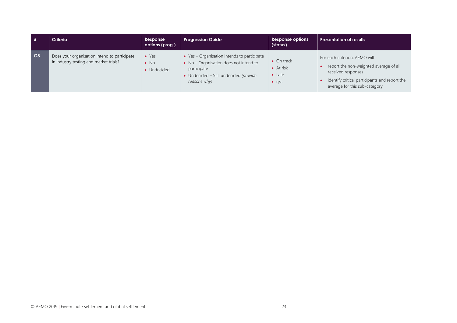| - # | Criteria                                                                               | Response<br>options (prog.)                  | <b>Progression Guide</b>                                                                                                                                       | Response options<br>(status)                                               | <b>Presentation of results</b>                                                                                                                                                   |
|-----|----------------------------------------------------------------------------------------|----------------------------------------------|----------------------------------------------------------------------------------------------------------------------------------------------------------------|----------------------------------------------------------------------------|----------------------------------------------------------------------------------------------------------------------------------------------------------------------------------|
| G8  | Does your organisation intend to participate<br>in industry testing and market trials? | $\bullet$ Yes<br>$\bullet$ No<br>• Undecided | • Yes – Organisation intends to participate<br>• No - Organisation does not intend to<br>participate<br>• Undecided – Still undecided (provide<br>reasons why) | $\bullet$ On track<br>$\bullet$ At risk<br>$\bullet$ Late<br>$\bullet$ n/a | For each criterion, AEMO will:<br>report the non-weighted average of all<br>received responses<br>identify critical participants and report the<br>average for this sub-category |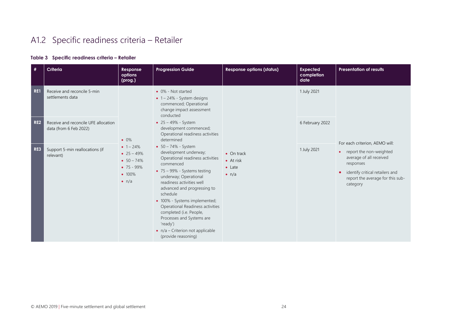## A1.2 Specific readiness criteria – Retailer

#### **Table 3 Specific readiness criteria – Retailer**

<span id="page-23-1"></span><span id="page-23-0"></span>

| #   | <b>Criteria</b>                                                | Response<br>options<br>(prog.)                                                               | <b>Progression Guide</b>                                                                                                                                                                                                                                                                                                                                                                                                                                                                                                                                   | <b>Response options (status)</b>                                           | <b>Expected</b><br>completion<br>date | <b>Presentation of results</b>                                                                                                                                                                      |
|-----|----------------------------------------------------------------|----------------------------------------------------------------------------------------------|------------------------------------------------------------------------------------------------------------------------------------------------------------------------------------------------------------------------------------------------------------------------------------------------------------------------------------------------------------------------------------------------------------------------------------------------------------------------------------------------------------------------------------------------------------|----------------------------------------------------------------------------|---------------------------------------|-----------------------------------------------------------------------------------------------------------------------------------------------------------------------------------------------------|
| RE1 | Receive and reconcile 5-min<br>settlements data                |                                                                                              | • 0% - Not started<br>$\bullet$ 1 – 24% - System designs<br>commenced; Operational<br>change impact assessment<br>conducted                                                                                                                                                                                                                                                                                                                                                                                                                                |                                                                            | 1 July 2021                           |                                                                                                                                                                                                     |
| RE2 | Receive and reconcile UFE allocation<br>data (from 6 Feb 2022) | $\bullet$ 0%                                                                                 | • $25 - 49% - System$<br>development commenced;<br>Operational readiness activities<br>determined<br>• $50 - 74\%$ - System<br>development underway;<br>Operational readiness activities<br>commenced<br>$\bullet$ 75 – 99% - Systems testing<br>underway; Operational<br>readiness activities well<br>advanced and progressing to<br>schedule<br>• 100% - Systems implemented;<br>Operational Readiness activities<br>completed (i.e. People,<br>Processes and Systems are<br>'ready')<br>$\bullet$ n/a – Criterion not applicable<br>(provide reasoning) |                                                                            | 6 February 2022                       |                                                                                                                                                                                                     |
| RE3 | Support 5-min reallocations (if<br>relevant)                   | • $1 - 24%$<br>• $25 - 49\%$<br>• $50 - 74\%$<br>$• 75 - 99\%$<br>$• 100\%$<br>$\bullet$ n/a |                                                                                                                                                                                                                                                                                                                                                                                                                                                                                                                                                            | $\bullet$ On track<br>$\bullet$ At risk<br>$\bullet$ Late<br>$\bullet$ n/a | 1 July 2021                           | For each criterion, AEMO will:<br>• report the non-weighted<br>average of all received<br>responses<br>identify critical retailers and<br>$\bullet$<br>report the average for this sub-<br>category |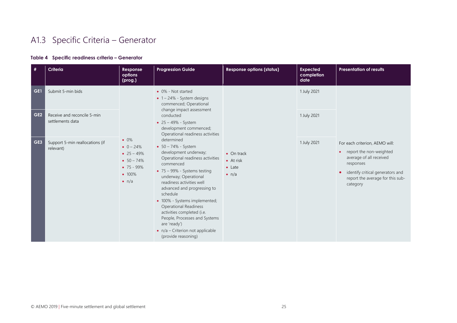## A1.3 Specific Criteria – Generator

#### **Table 4 Specific readiness criteria – Generator**

<span id="page-24-1"></span><span id="page-24-0"></span>

| #               | Criteria                                        | Response<br>options<br>(prog.)                                                                             | <b>Progression Guide</b>                                                                                                                                                                                                                                                                                                                                                                                                                                                                                                                                                                                  | <b>Response options (status)</b>                                   | <b>Expected</b><br>completion<br>date | <b>Presentation of results</b>                                                                                                                                                          |
|-----------------|-------------------------------------------------|------------------------------------------------------------------------------------------------------------|-----------------------------------------------------------------------------------------------------------------------------------------------------------------------------------------------------------------------------------------------------------------------------------------------------------------------------------------------------------------------------------------------------------------------------------------------------------------------------------------------------------------------------------------------------------------------------------------------------------|--------------------------------------------------------------------|---------------------------------------|-----------------------------------------------------------------------------------------------------------------------------------------------------------------------------------------|
| GE1             | Submit 5-min bids                               |                                                                                                            | • 0% - Not started<br>$\bullet$ 1 – 24% - System designs<br>commenced; Operational                                                                                                                                                                                                                                                                                                                                                                                                                                                                                                                        |                                                                    | 1 July 2021                           |                                                                                                                                                                                         |
| GE <sub>2</sub> | Receive and reconcile 5-min<br>settlements data | $\bullet$ 0%<br>• $0 - 24%$<br>• $25 - 49\%$<br>$-50 - 74%$<br>$• 75 - 99\%$<br>$• 100\%$<br>$\bullet$ n/a | change impact assessment<br>conducted<br>• $25 - 49%$ - System<br>development commenced;<br>Operational readiness activities<br>determined<br>• $50 - 74%$ - System<br>development underway;<br>Operational readiness activities<br>commenced<br>$\bullet$ 75 – 99% - Systems testing<br>underway; Operational<br>readiness activities well<br>advanced and progressing to<br>schedule<br>• 100% - Systems implemented;<br><b>Operational Readiness</b><br>activities completed (i.e.<br>People, Processes and Systems<br>are 'ready')<br>$\bullet$ n/a – Criterion not applicable<br>(provide reasoning) | • On track<br>$\bullet$ At risk<br>$\bullet$ Late<br>$\bullet$ n/a | 1 July 2021                           |                                                                                                                                                                                         |
| GE3             | Support 5-min reallocations (if<br>relevant)    |                                                                                                            |                                                                                                                                                                                                                                                                                                                                                                                                                                                                                                                                                                                                           |                                                                    | 1 July 2021                           | For each criterion, AEMO will:<br>• report the non-weighted<br>average of all received<br>responses<br>identify critical generators and<br>report the average for this sub-<br>category |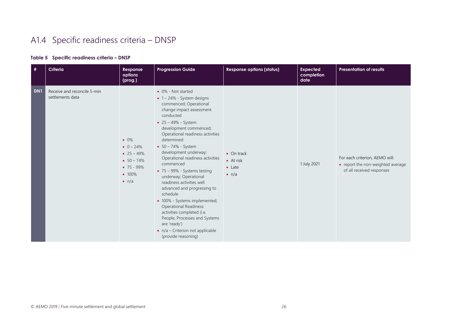## A1.4 Specific readiness criteria – DNSP

#### **Table 5 Specific readiness criteria – DNSP**

<span id="page-25-1"></span><span id="page-25-0"></span>

| #               | Criteria                                        | Response<br>options<br>(prog.)                                                                              | <b>Progression Guide</b>                                                                                                                                                                                                                                                                                                                                                                                                                                                                                                                                                                                                                                                                         | <b>Response options (status)</b>                                           | <b>Expected</b><br>completion<br>date | <b>Presentation of results</b>                                                                   |
|-----------------|-------------------------------------------------|-------------------------------------------------------------------------------------------------------------|--------------------------------------------------------------------------------------------------------------------------------------------------------------------------------------------------------------------------------------------------------------------------------------------------------------------------------------------------------------------------------------------------------------------------------------------------------------------------------------------------------------------------------------------------------------------------------------------------------------------------------------------------------------------------------------------------|----------------------------------------------------------------------------|---------------------------------------|--------------------------------------------------------------------------------------------------|
| DN <sub>1</sub> | Receive and reconcile 5-min<br>settlements data | $\bullet$ 0%<br>• $0 - 24%$<br>• $25 - 49\%$<br>$-50 - 74\%$<br>$• 75 - 99\%$<br>$• 100\%$<br>$\bullet$ n/a | • 0% - Not started<br>$\bullet$ 1 – 24% - System designs<br>commenced; Operational<br>change impact assessment<br>conducted<br>• $25 - 49% - System$<br>development commenced;<br>Operational readiness activities<br>determined<br>• $50 - 74\%$ - System<br>development underway;<br>Operational readiness activities<br>commenced<br>$\bullet$ 75 – 99% - Systems testing<br>underway; Operational<br>readiness activities well<br>advanced and progressing to<br>schedule<br>• 100% - Systems implemented;<br><b>Operational Readiness</b><br>activities completed (i.e.<br>People, Processes and Systems<br>are 'ready')<br>$\bullet$ n/a – Criterion not applicable<br>(provide reasoning) | $\bullet$ On track<br>$\bullet$ At risk<br>$\bullet$ Late<br>$\bullet$ n/a | 1 July 2021                           | For each criterion, AEMO will:<br>• report the non-weighted average<br>of all received responses |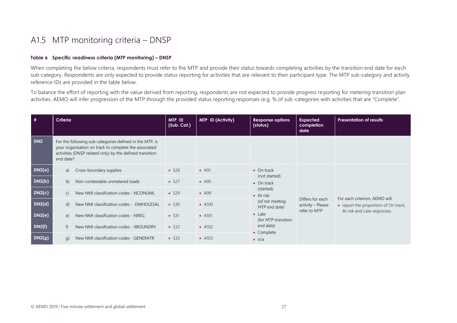## A1.5 MTP monitoring criteria – DNSP

#### **Table 6 Specific readiness criteria (MTP monitoring) – DNSP**

When completing the below criteria, respondents must refer to the MTP and provide their status towards completing activities by the transition end date for each sub-category. Respondents are only expected to provide status reporting for activities that are relevant to their participant type. The MTP sub-category and activity reference IDs are provided in the table below.

To balance the effort of reporting with the value derived from reporting, respondents are not expected to provide progress reporting for metering transition plan activities. AEMO will infer progression of the MTP through the provided status reporting responses (e.g. % of sub-categories with activities that are "Complete".

<span id="page-26-1"></span><span id="page-26-0"></span>

| #               | <b>Criteria</b>                                                                                                                                                                           |                                          | <b>MTP ID</b><br>(Sub. Cat.) | <b>MTP ID (Activity)</b> | <b>Response options</b><br>(status)   | <b>Expected</b><br>completion<br>date | <b>Presentation of results</b>       |
|-----------------|-------------------------------------------------------------------------------------------------------------------------------------------------------------------------------------------|------------------------------------------|------------------------------|--------------------------|---------------------------------------|---------------------------------------|--------------------------------------|
| DN <sub>2</sub> | For the following sub-categories defined in the MTP, is<br>your organisation on track to complete the associated<br>activities (DNSP related only) by the defined transition<br>end date? |                                          |                              |                          |                                       |                                       |                                      |
| DN2(a)          | a)                                                                                                                                                                                        | Cross-boundary supplies                  | $\bullet$ S <sub>26</sub>    | $\bullet$ A91            | $\bullet$ On track                    |                                       |                                      |
| DN2(b)          | b)                                                                                                                                                                                        | Non-contestable unmetered loads          | $\bullet$ S27                | $\bullet$ A95            | (not started)<br>$\bullet$ On track   |                                       |                                      |
| DN2(c)          | $\mathsf{C}$                                                                                                                                                                              | New NMI classification codes - NCONUML   | $\bullet$ S29                | $\bullet$ A99            | (started)<br>$\bullet$ At risk        |                                       | For each criterion, AEMO will:       |
| DN2(d)          | d)                                                                                                                                                                                        | New NMI classification codes - DWHOLESAL | $\bullet$ S <sub>30</sub>    | $\bullet$ A100           | (of not meeting<br>MTP end date)      | Differs for each<br>activity - Please | • report the proportion of On track, |
| DN2(e)          | e)                                                                                                                                                                                        | New NMI classification codes - NREG      | $\bullet$ S31                | $\bullet$ A101           | $\bullet$ Late<br>(for MTP transition | refer to MTP                          | At risk and Late responses           |
| DN2(f)          | $\mathsf{f}$                                                                                                                                                                              | New NMI classification codes - XBOUNDRY  | $\bullet$ S32                | $\bullet$ A102           | end date)                             |                                       |                                      |
| DN2(g)          | q)                                                                                                                                                                                        | New NMI classification codes - GENERATR  | $\bullet$ S33                | $\bullet$ A103           | • Complete<br>$\bullet$ n/a           |                                       |                                      |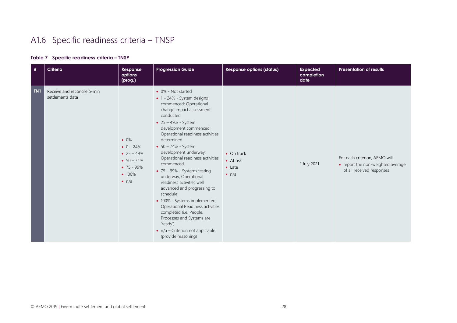## A1.6 Specific readiness criteria – TNSP

#### **Table 7 Specific readiness criteria – TNSP**

<span id="page-27-1"></span><span id="page-27-0"></span>

| #               | Criteria                                        | <b>Response</b><br>options<br>(prog.)                                                                     | <b>Progression Guide</b>                                                                                                                                                                                                                                                                                                                                                                                                                                                                                                                                                                                                                                                                  | <b>Response options (status)</b>                                           | <b>Expected</b><br>completion<br>date | <b>Presentation of results</b>                                                                   |
|-----------------|-------------------------------------------------|-----------------------------------------------------------------------------------------------------------|-------------------------------------------------------------------------------------------------------------------------------------------------------------------------------------------------------------------------------------------------------------------------------------------------------------------------------------------------------------------------------------------------------------------------------------------------------------------------------------------------------------------------------------------------------------------------------------------------------------------------------------------------------------------------------------------|----------------------------------------------------------------------------|---------------------------------------|--------------------------------------------------------------------------------------------------|
| TN <sub>1</sub> | Receive and reconcile 5-min<br>settlements data | $\bullet$ 0%<br>• $0 - 24%$<br>• $25 - 49%$<br>$-50 - 74%$<br>$• 75 - 99\%$<br>$• 100\%$<br>$\bullet$ n/a | • 0% - Not started<br>$\bullet$ 1 – 24% - System designs<br>commenced; Operational<br>change impact assessment<br>conducted<br>• $25 - 49% - System$<br>development commenced;<br>Operational readiness activities<br>determined<br>• $50 - 74\%$ - System<br>development underway;<br>Operational readiness activities<br>commenced<br>$\bullet$ 75 – 99% - Systems testing<br>underway; Operational<br>readiness activities well<br>advanced and progressing to<br>schedule<br>• 100% - Systems implemented;<br>Operational Readiness activities<br>completed (i.e. People,<br>Processes and Systems are<br>'ready')<br>$\bullet$ n/a – Criterion not applicable<br>(provide reasoning) | $\bullet$ On track<br>$\bullet$ At risk<br>$\bullet$ Late<br>$\bullet$ n/a | 1 July 2021                           | For each criterion, AEMO will:<br>• report the non-weighted average<br>of all received responses |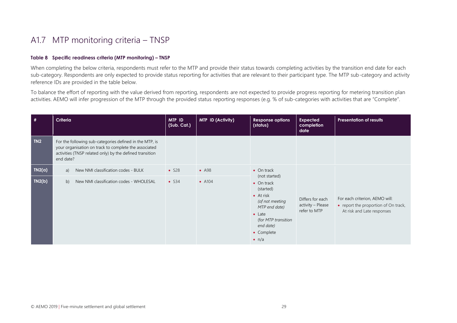## A1.7 MTP monitoring criteria – TNSP

#### **Table 8 Specific readiness criteria (MTP monitoring) – TNSP**

When completing the below criteria, respondents must refer to the MTP and provide their status towards completing activities by the transition end date for each sub-category. Respondents are only expected to provide status reporting for activities that are relevant to their participant type. The MTP sub-category and activity reference IDs are provided in the table below.

To balance the effort of reporting with the value derived from reporting, respondents are not expected to provide progress reporting for metering transition plan activities. AEMO will infer progression of the MTP through the provided status reporting responses (e.g. % of sub-categories with activities that are "Complete".

<span id="page-28-1"></span><span id="page-28-0"></span>

| #                | <b>Criteria</b>                                                                                                                                                                           | MTP ID<br>(Sub. Cat.)          | <b>MTP ID (Activity)</b>        | <b>Response options</b><br>(status)                                                                                                                                                                                  | <b>Expected</b><br>completion<br>date                 | <b>Presentation of results</b>                                                                       |
|------------------|-------------------------------------------------------------------------------------------------------------------------------------------------------------------------------------------|--------------------------------|---------------------------------|----------------------------------------------------------------------------------------------------------------------------------------------------------------------------------------------------------------------|-------------------------------------------------------|------------------------------------------------------------------------------------------------------|
| IN2              | For the following sub-categories defined in the MTP, is<br>your organisation on track to complete the associated<br>activities (TNSP related only) by the defined transition<br>end date? |                                |                                 |                                                                                                                                                                                                                      |                                                       |                                                                                                      |
| TN2(a)<br>IN2(b) | New NMI classification codes - BULK<br>a)<br>New NMI classification codes - WHOLESAL<br>b)                                                                                                | $\bullet$ S28<br>$\bullet$ S34 | $\bullet$ A98<br>$\bullet$ A104 | $\bullet$ On track<br>(not started)<br>$\bullet$ On track<br>(started)<br>$\bullet$ At risk<br>(of not meeting<br>MTP end date)<br>$\bullet$ Late<br>(for MTP transition<br>end date)<br>• Complete<br>$\bullet$ n/a | Differs for each<br>activity - Please<br>refer to MTP | For each criterion, AEMO will:<br>• report the proportion of On track,<br>At risk and Late responses |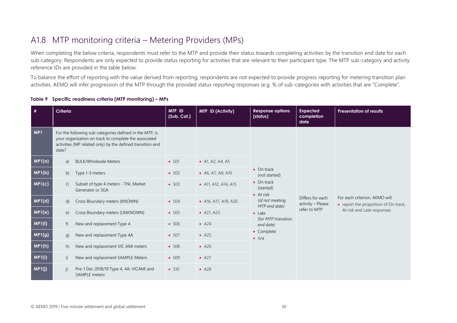## A1.8 MTP monitoring criteria – Metering Providers (MPs)

When completing the below criteria, respondents must refer to the MTP and provide their status towards completing activities by the transition end date for each sub-category. Respondents are only expected to provide status reporting for activities that are relevant to their participant type. The MTP sub-category and activity reference IDs are provided in the table below.

To balance the effort of reporting with the value derived from reporting, respondents are not expected to provide progress reporting for metering transition plan activities. AEMO will infer progression of the MTP through the provided status reporting responses (e.g. % of sub-categories with activities that are "Complete".

#### **Table 9 Specific readiness criteria (MTP monitoring) – MPs**

<span id="page-29-1"></span><span id="page-29-0"></span>

| #      | Criteria     |                                                                                                                                                                                | MTP ID<br>(Sub. Cat.) | <b>MTP ID (Activity)</b> | <b>Response options</b><br>(status)                                                         | <b>Expected</b><br>completion<br>date | <b>Presentation of results</b>                                         |
|--------|--------------|--------------------------------------------------------------------------------------------------------------------------------------------------------------------------------|-----------------------|--------------------------|---------------------------------------------------------------------------------------------|---------------------------------------|------------------------------------------------------------------------|
| MP1    | date?        | For the following sub-categories defined in the MTP, is<br>your organisation on track to complete the associated<br>activities (MP related only) by the defined transition end |                       |                          |                                                                                             |                                       |                                                                        |
| MP1(a) | a)           | <b>BULK/Wholesale Meters</b>                                                                                                                                                   | $\bullet$ SO1         | • A1, A2, A4, A5         | $\bullet$ On track<br>(not started)<br>$\bullet$ On track<br>(started)<br>$\bullet$ At risk |                                       |                                                                        |
| MP1(b) | b)           | Type 1-3 meters                                                                                                                                                                | $\bullet$ SO2         | • A6, A7, A9, A10        |                                                                                             |                                       |                                                                        |
| MP1(c) | $\mathsf{C}$ | Subset of type 4 meters - TNI, Market<br>Generator or SGA                                                                                                                      | $\bullet$ SO3         | • A11, A12, A14, A15     |                                                                                             |                                       |                                                                        |
| MP1(d) | d)           | Cross Boundary meters (KNOWN)                                                                                                                                                  | $\bullet$ SO4         | • A16, A17, A19, A20     | (of not meeting<br>MTP end date)                                                            | Differs for each<br>activity - Please | For each criterion, AEMO will:<br>• report the proportion of On track, |
| MP1(e) | e)           | Cross Boundary meters (UNKNOWN)                                                                                                                                                | $\bullet$ SO5         | • A21, A23               | $\bullet$ Late                                                                              | refer to MTP                          | At risk and Late responses                                             |
| MP1(f) | f)           | New and replacement Type 4                                                                                                                                                     | $\bullet$ SO6         | $\bullet$ A24            | (for MTP transition<br>end date)                                                            |                                       |                                                                        |
| MP1(g) | g)           | New and replacement Type 4A                                                                                                                                                    | $\bullet$ SO7         | $\bullet$ A25            | • Complete<br>$\bullet$ n/a                                                                 |                                       |                                                                        |
| MP1(h) | h)           | New and replacement VIC AMI meters                                                                                                                                             | $\bullet$ SO8         | $\bullet$ A26            |                                                                                             |                                       |                                                                        |
| MP1(i) | i)           | New and replacement SAMPLE Meters                                                                                                                                              | $\bullet$ SO9         | $\bullet$ A27            |                                                                                             |                                       |                                                                        |
| MP1(j) | i)           | Pre-1 Dec 2018/19 Type 4, 4A, VICAMI and<br><b>SAMPLE</b> meters                                                                                                               | $\bullet$ S10         | $\bullet$ A28            |                                                                                             |                                       |                                                                        |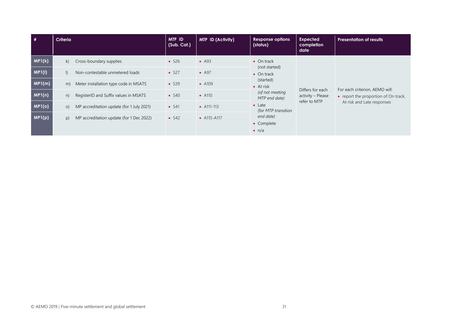| #             | Criteria |                                           | <b>MTP ID</b><br>(Sub. Cat.) | <b>MTP ID (Activity)</b> | Response options<br>(status)                                       | <b>Expected</b><br>completion<br>date | <b>Presentation of results</b>                                                                       |
|---------------|----------|-------------------------------------------|------------------------------|--------------------------|--------------------------------------------------------------------|---------------------------------------|------------------------------------------------------------------------------------------------------|
| MP1(k)        | k)       | Cross-boundary supplies                   | $\bullet$ S <sub>26</sub>    | $\bullet$ A93            | $\bullet$ On track                                                 |                                       |                                                                                                      |
| <b>MP1(I)</b> |          | Non-contestable unmetered loads           | $\bullet$ S27                | $\bullet$ A97            | (not started)<br>$\bullet$ On track                                |                                       |                                                                                                      |
| MP1(m)        | m)       | Meter installation type code in MSATS     | $\bullet$ S39                | $\bullet$ A109           | (started)<br>$\bullet$ At risk<br>(of not meeting<br>MTP end date) | Differs for each                      | For each criterion, AEMO will:<br>• report the proportion of On track,<br>At risk and Late responses |
| MP1(n)        | n)       | RegisterID and Suffix values in MSATS     | $\bullet$ S40                | $\bullet$ A110           |                                                                    | activity - Please                     |                                                                                                      |
| MP1(o)        | O        | MP accreditation update (for 1 July 2021) | $\bullet$ S41                | • $A111 - 113$           | $\bullet$ Late<br>(for MTP transition                              | refer to MTP                          |                                                                                                      |
| MP1(p)        | p)       | MP accreditation update (for 1 Dec 2022)  | $\bullet$ S42                | • A115-A117              | end date)<br>• Complete<br>$\bullet$ n/a                           |                                       |                                                                                                      |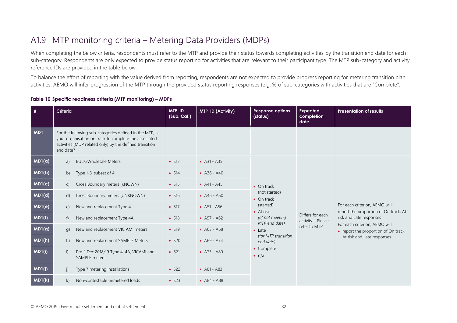## A1.9 MTP monitoring criteria – Metering Data Providers (MDPs)

When completing the below criteria, respondents must refer to the MTP and provide their status towards completing activities by the transition end date for each sub-category. Respondents are only expected to provide status reporting for activities that are relevant to their participant type. The MTP sub-category and activity reference IDs are provided in the table below.

To balance the effort of reporting with the value derived from reporting, respondents are not expected to provide progress reporting for metering transition plan activities. AEMO will infer progression of the MTP through the provided status reporting responses (e.g. % of sub-categories with activities that are "Complete".

#### **Table 10 Specific readiness criteria (MTP monitoring) – MDPs**

<span id="page-31-1"></span><span id="page-31-0"></span>

| #             | Criteria     |                                                                                                                                                                             | MTP ID<br>(Sub. Cat.)     | <b>MTP ID (Activity)</b> | <b>Response options</b><br>(status) | <b>Expected</b><br>completion<br>date | <b>Presentation of results</b>                                          |
|---------------|--------------|-----------------------------------------------------------------------------------------------------------------------------------------------------------------------------|---------------------------|--------------------------|-------------------------------------|---------------------------------------|-------------------------------------------------------------------------|
| MD1           | end date?    | For the following sub-categories defined in the MTP, is<br>your organisation on track to complete the associated<br>activities (MDP related only) by the defined transition |                           |                          |                                     |                                       |                                                                         |
| MD1(a)        | a)           | <b>BULK/Wholesale Meters</b>                                                                                                                                                | $\bullet$ S13             | • $A31 - A35$            |                                     |                                       |                                                                         |
| MD1(b)        | b)           | Type 1-3, subset of 4                                                                                                                                                       | $\bullet$ S14             | • $A36 - A40$            |                                     |                                       |                                                                         |
| MD1(c)        | $\mathsf{C}$ | Cross Boundary meters (KNOWN)                                                                                                                                               | $\bullet$ S15             | • $A41 - A45$            | $\bullet$ On track                  |                                       |                                                                         |
| MD1(d)        | $\mathsf{d}$ | Cross Boundary meters (UNKNOWN)                                                                                                                                             | $\bullet$ S16             | • $A46 - A50$            | (not started)<br>$\bullet$ On track |                                       |                                                                         |
| MD1(e)        | e)           | New and replacement Type 4                                                                                                                                                  | $\bullet$ S17             | • $A51 - A56$            | (started)<br>$\bullet$ At risk      |                                       | For each criterion, AEMO will:<br>report the proportion of On track, At |
| MD1(f)        | f)           | New and replacement Type 4A                                                                                                                                                 | $\bullet$ S18             | • $A57 - A62$            | (of not meeting<br>MTP end date)    | Differs for each<br>activity - Please | risk and Late responses                                                 |
| MD1(g)        | g)           | New and replacement VIC AMI meters                                                                                                                                          | $\bullet$ S19             | • $A63 - A68$            | $\bullet$ Late                      | refer to MTP                          | For each criterion, AEMO will:<br>• report the proportion of On track,  |
| MD1(h)        | h)           | New and replacement SAMPLE Meters                                                                                                                                           | $\bullet$ S <sub>20</sub> | • $A69 - A74$            | (for MTP transition<br>end date)    |                                       | At risk and Late responses                                              |
| <b>MD1(i)</b> | i)           | Pre-1 Dec 2018/19 Type 4, 4A, VICAMI and<br><b>SAMPLE</b> meters                                                                                                            | $\bullet$ S21             | • $A75 - A80$            | • Complete<br>$\bullet$ n/a         |                                       |                                                                         |
| MD1(j)        | i)           | Type 7 metering installations                                                                                                                                               | $\bullet$ S22             | • $A81 - A83$            |                                     |                                       |                                                                         |
| MD1(k)        | k)           | Non-contestable unmetered loads                                                                                                                                             | $\bullet$ S23             | • $A84 - A88$            |                                     |                                       |                                                                         |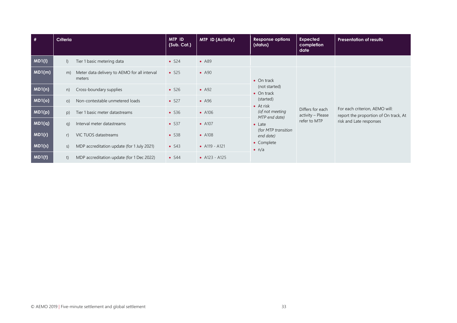| #             | Criteria                                                     | MTP ID<br>(Sub. Cat.)     | <b>MTP ID (Activity)</b> | <b>Response options</b><br>(status)                                                                                                                                             | <b>Expected</b><br>completion<br>date | <b>Presentation of results</b>                                                                     |
|---------------|--------------------------------------------------------------|---------------------------|--------------------------|---------------------------------------------------------------------------------------------------------------------------------------------------------------------------------|---------------------------------------|----------------------------------------------------------------------------------------------------|
| <b>MD1(I)</b> | Tier 1 basic metering data<br>$\vert$                        | $\bullet$ S <sub>24</sub> | $- A89$                  |                                                                                                                                                                                 |                                       |                                                                                                    |
| MD1(m)        | Meter data delivery to AEMO for all interval<br>m)<br>meters | $\bullet$ S <sub>25</sub> | $\bullet$ A90            | $\bullet$ On track                                                                                                                                                              |                                       |                                                                                                    |
| MD1(n)        | Cross-boundary supplies<br>n)                                | $\bullet$ S26             | $\bullet$ A92            | (not started)<br>$\bullet$ On track<br>(started)<br>$\bullet$ At risk<br>(of not meeting<br>MTP end date)<br>refer to MTP<br>$\bullet$ Late<br>(for MTP transition<br>end date) |                                       | For each criterion, AEMO will:<br>report the proportion of On track, At<br>risk and Late responses |
| MD1(o)        | Non-contestable unmetered loads<br>O                         | $\bullet$ S27             | $\bullet$ A96            |                                                                                                                                                                                 |                                       |                                                                                                    |
| MD1(p)        | Tier 1 basic meter datastreams<br>p)                         | $\bullet$ S36             | $\bullet$ A106           |                                                                                                                                                                                 | Differs for each<br>activity - Please |                                                                                                    |
| MD1(q)        | Interval meter datastreams<br>$\alpha$ )                     | $\bullet$ S37             | $\bullet$ A107           |                                                                                                                                                                                 |                                       |                                                                                                    |
| MD1(r)        | VIC TUOS datastreams<br>$r$ )                                | $\bullet$ S38             | $\bullet$ A108           |                                                                                                                                                                                 |                                       |                                                                                                    |
| MD1(s)        | MDP accreditation update (for 1 July 2021)<br>S)             | $\bullet$ S43             | • $A119 - A121$          | • Complete<br>$\bullet$ n/a                                                                                                                                                     |                                       |                                                                                                    |
| MD1(t)        | MDP accreditation update (for 1 Dec 2022)<br>t)              | $\bullet$ S44             | • $A123 - A125$          |                                                                                                                                                                                 |                                       |                                                                                                    |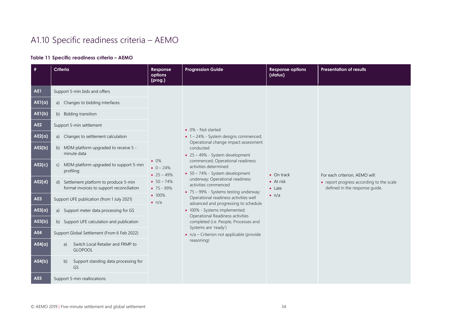## A1.10 Specific readiness criteria – AEMO

#### **Table 11 Specific readiness criteria – AEMO**

<span id="page-33-1"></span><span id="page-33-0"></span>

| #               | <b>Criteria</b>                                                                      | <b>Response</b><br>options<br>(prog.)     | <b>Progression Guide</b>                                                                                                                                                             | <b>Response options</b><br>(status) | <b>Presentation of results</b>                                             |
|-----------------|--------------------------------------------------------------------------------------|-------------------------------------------|--------------------------------------------------------------------------------------------------------------------------------------------------------------------------------------|-------------------------------------|----------------------------------------------------------------------------|
| AE1             | Support 5-min bids and offers                                                        |                                           |                                                                                                                                                                                      |                                     |                                                                            |
| AE1(a)          | a) Changes to bidding interfaces                                                     |                                           |                                                                                                                                                                                      |                                     |                                                                            |
| AE1(b)          | b) Bidding transition                                                                |                                           |                                                                                                                                                                                      |                                     |                                                                            |
| AE <sub>2</sub> | Support 5-min settlement                                                             |                                           | • 0% - Not started                                                                                                                                                                   |                                     |                                                                            |
| $AE2(\alpha)$   | a) Changes to settlement calculation                                                 |                                           | • 1 - 24% - System designs commenced;                                                                                                                                                |                                     |                                                                            |
| AE2(b)          | b) MDM platform upgraded to receive 5 -<br>minute data                               |                                           | Operational change impact assessment<br>conducted<br>• 25 - 49% - System development<br>commenced; Operational readiness<br>activities determined<br>• 50 - 74% - System development | $\bullet$ On track                  | For each criterion, AEMO will:                                             |
| AE2(c)          | MDM platform upgraded to support 5-min<br>$\mathsf{C}$<br>profiling                  | $\bullet$ 0%<br>$0 - 24%$<br>• $25 - 49%$ |                                                                                                                                                                                      |                                     |                                                                            |
| AE2(d)          | d) Settlement platform to produce 5-min<br>format invoices to support reconciliation | $-50 - 74%$<br>$• 75 - 99%$               | underway; Operational readiness<br>activities commenced<br>• 75 - 99% - Systems testing underway;                                                                                    | $\bullet$ At risk<br>$\bullet$ Late | • report progress according to the scale<br>defined in the response guide. |
| AE3             | Support UFE publication (from 1 July 2021)                                           | • 100%<br>$\bullet$ n/a                   | Operational readiness activities well<br>advanced and progressing to schedule                                                                                                        | $\bullet$ n/a                       |                                                                            |
| AE3(a)          | a) Support meter data processing for GS                                              |                                           | • 100% - Systems implemented;<br>Operational Readiness activities                                                                                                                    |                                     |                                                                            |
| AE3(b)          | b) Support UFE calculation and publication                                           |                                           | completed (i.e. People, Processes and                                                                                                                                                |                                     |                                                                            |
| AE4             | Support Global Settlement (From 6 Feb 2022)                                          |                                           | Systems are 'ready')<br>$\bullet$ n/a – Criterion not applicable (provide                                                                                                            |                                     |                                                                            |
| AE4(a)          | Switch Local Retailer and FRMP to<br>a)<br><b>GLOPOOL</b>                            |                                           | reasoning)                                                                                                                                                                           |                                     |                                                                            |
| AE4(b)          | Support standing data processing for<br>b)<br>GS                                     |                                           |                                                                                                                                                                                      |                                     |                                                                            |
| AE5             | Support 5-min reallocations                                                          |                                           |                                                                                                                                                                                      |                                     |                                                                            |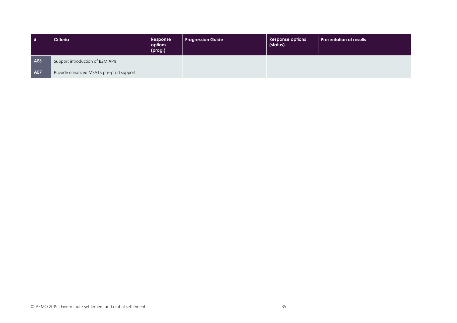| #               | Criteria                                | Response<br>options<br>(prog.) | <b>Progression Guide</b> | Response options<br>(status) | <b>Presentation of results</b> |
|-----------------|-----------------------------------------|--------------------------------|--------------------------|------------------------------|--------------------------------|
| AE <sub>6</sub> | Support introduction of B2M APIs        |                                |                          |                              |                                |
| AE7             | Provide enhanced MSATS pre-prod support |                                |                          |                              |                                |